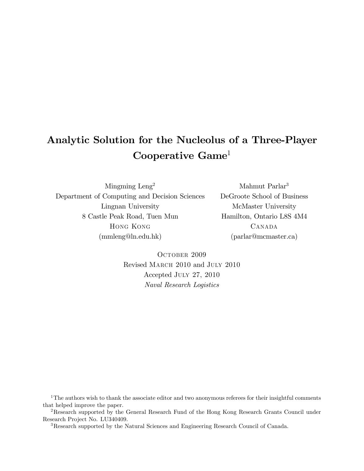# Analytic Solution for the Nucleolus of a Three-Player Cooperative Game<sup>1</sup>

Mingming Leng<sup>2</sup> Department of Computing and Decision Sciences Lingnan University 8 Castle Peak Road, Tuen Mun Hong Kong (mmleng@ln.edu.hk)

Mahmut Parlar<sup>3</sup> DeGroote School of Business McMaster University Hamilton, Ontario L8S 4M4 **CANADA** (parlar@mcmaster.ca)

OCTOBER 2009 Revised March 2010 and July 2010 Accepted July 27, 2010 Naval Research Logistics

 $1$ <sup>1</sup>The authors wish to thank the associate editor and two anonymous referees for their insightful comments that helped improve the paper.

<sup>2</sup>Research supported by the General Research Fund of the Hong Kong Research Grants Council under Research Project No. LU340409.

<sup>3</sup>Research supported by the Natural Sciences and Engineering Research Council of Canada.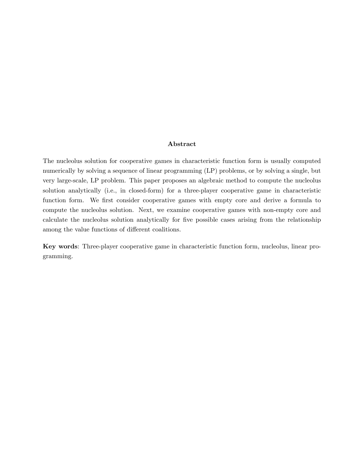#### Abstract

The nucleolus solution for cooperative games in characteristic function form is usually computed numerically by solving a sequence of linear programming (LP) problems, or by solving a single, but very large-scale, LP problem. This paper proposes an algebraic method to compute the nucleolus solution analytically (i.e., in closed-form) for a three-player cooperative game in characteristic function form. We first consider cooperative games with empty core and derive a formula to compute the nucleolus solution. Next, we examine cooperative games with non-empty core and calculate the nucleolus solution analytically for Öve possible cases arising from the relationship among the value functions of different coalitions.

Key words: Three-player cooperative game in characteristic function form, nucleolus, linear programming.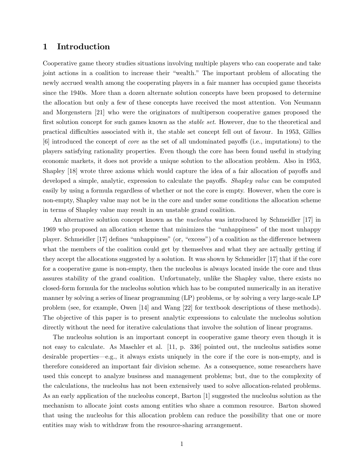#### 1 Introduction

Cooperative game theory studies situations involving multiple players who can cooperate and take joint actions in a coalition to increase their "wealth." The important problem of allocating the newly accrued wealth among the cooperating players in a fair manner has occupied game theorists since the 1940s. More than a dozen alternate solution concepts have been proposed to determine the allocation but only a few of these concepts have received the most attention. Von Neumann and Morgenstern [21] who were the originators of multiperson cooperative games proposed the first solution concept for such games known as the *stable set*. However, due to the theoretical and practical difficulties associated with it, the stable set concept fell out of favour. In 1953, Gillies [6] introduced the concept of *core* as the set of all undominated payoffs (i.e., imputations) to the players satisfying rationality properties. Even though the core has been found useful in studying economic markets, it does not provide a unique solution to the allocation problem. Also in 1953, Shapley  $[18]$  wrote three axioms which would capture the idea of a fair allocation of payoffs and developed a simple, analytic, expression to calculate the payoffs. Shapley value can be computed easily by using a formula regardless of whether or not the core is empty. However, when the core is non-empty, Shapley value may not be in the core and under some conditions the allocation scheme in terms of Shapley value may result in an unstable grand coalition.

An alternative solution concept known as the *nucleolus* was introduced by Schmeidler [17] in 1969 who proposed an allocation scheme that minimizes the "unhappiness" of the most unhappy player. Schmeidler [17] defines "unhappiness" (or, "excess") of a coalition as the difference between what the members of the coalition could get by themselves and what they are actually getting if they accept the allocations suggested by a solution. It was shown by Schmeidler [17] that if the core for a cooperative game is non-empty, then the nucleolus is always located inside the core and thus assures stability of the grand coalition. Unfortunately, unlike the Shapley value, there exists no closed-form formula for the nucleolus solution which has to be computed numerically in an iterative manner by solving a series of linear programming (LP) problems, or by solving a very large-scale LP problem (see, for example, Owen [14] and Wang [22] for textbook descriptions of these methods). The objective of this paper is to present analytic expressions to calculate the nucleolus solution directly without the need for iterative calculations that involve the solution of linear programs.

The nucleolus solution is an important concept in cooperative game theory even though it is not easy to calculate. As Maschler et al.  $[11, p. 336]$  pointed out, the nucleolus satisfies some desirable properties—e.g., it always exists uniquely in the core if the core is non-empty, and is therefore considered an important fair division scheme. As a consequence, some researchers have used this concept to analyze business and management problems; but, due to the complexity of the calculations, the nucleolus has not been extensively used to solve allocation-related problems. As an early application of the nucleolus concept, Barton [1] suggested the nucleolus solution as the mechanism to allocate joint costs among entities who share a common resource. Barton showed that using the nucleolus for this allocation problem can reduce the possibility that one or more entities may wish to withdraw from the resource-sharing arrangement.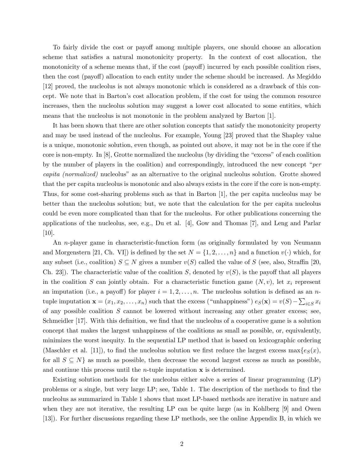To fairly divide the cost or payoff among multiple players, one should choose an allocation scheme that satisfies a natural monotonicity property. In the context of cost allocation, the monotonicity of a scheme means that, if the cost (payoff) incurred by each possible coalition rises, then the cost (payoff) allocation to each entity under the scheme should be increased. As Megiddo [12] proved, the nucleolus is not always monotonic which is considered as a drawback of this concept. We note that in Barton's cost allocation problem, if the cost for using the common resource increases, then the nucleolus solution may suggest a lower cost allocated to some entities, which means that the nucleolus is not monotonic in the problem analyzed by Barton [1].

It has been shown that there are other solution concepts that satisfy the monotonicity property and may be used instead of the nucleolus. For example, Young [23] proved that the Shapley value is a unique, monotonic solution, even though, as pointed out above, it may not be in the core if the core is non-empty. In  $[8]$ , Grotte normalized the nucleolus (by dividing the "excess" of each coalition by the number of players in the coalition) and correspondingly, introduced the new concept  $\degree per$ capita (normalized) nucleolus" as an alternative to the original nucleolus solution. Grotte showed that the per capita nucleolus is monotonic and also always exists in the core if the core is non-empty. Thus, for some cost-sharing problems such as that in Barton [1], the per capita nucleolus may be better than the nucleolus solution; but, we note that the calculation for the per capita nucleolus could be even more complicated than that for the nucleolus. For other publications concerning the applications of the nucleolus, see, e.g., Du et al. [4], Gow and Thomas [7], and Leng and Parlar [10].

An n-player game in characteristic-function form (as originally formulated by von Neumann and Morgenstern [21, Ch. VI]) is defined by the set  $N = \{1, 2, ..., n\}$  and a function  $v(\cdot)$  which, for any subset (i.e., coalition)  $S \subseteq N$  gives a number  $v(S)$  called the value of S (see, also, Straffin [20, Ch. 23]). The characteristic value of the coalition S, denoted by  $v(S)$ , is the payoff that all players in the coalition S can jointly obtain. For a characteristic function game  $(N, v)$ , let  $x_i$  represent an imputation (i.e., a payoff) for player  $i = 1, 2, \ldots, n$ . The nucleolus solution is defined as an ntuple imputation  $\mathbf{x} = (x_1, x_2, \dots, x_n)$  such that the excess ("unhappiness")  $e_S(\mathbf{x}) = v(S) - \sum_{i \in S} x_i$ of any possible coalition  $S$  cannot be lowered without increasing any other greater excess; see, Schmeidler  $[17]$ . With this definition, we find that the nucleolus of a cooperative game is a solution concept that makes the largest unhappiness of the coalitions as small as possible, or, equivalently, minimizes the worst inequity. In the sequential LP method that is based on lexicographic ordering (Maschler et al. [11]), to find the nucleolus solution we first reduce the largest excess  $\max\{e_S(x),\}$ for all  $S \subseteq N$  as much as possible, then decrease the second largest excess as much as possible, and continue this process until the *n*-tuple imputation  $\bf{x}$  is determined.

Existing solution methods for the nucleolus either solve a series of linear programming (LP) problems or a single, but very large LP; see, Table 1. The description of the methods to find the nucleolus as summarized in Table 1 shows that most LP-based methods are iterative in nature and when they are not iterative, the resulting LP can be quite large (as in Kohlberg [9] and Owen [13]). For further discussions regarding these LP methods, see the online Appendix B, in which we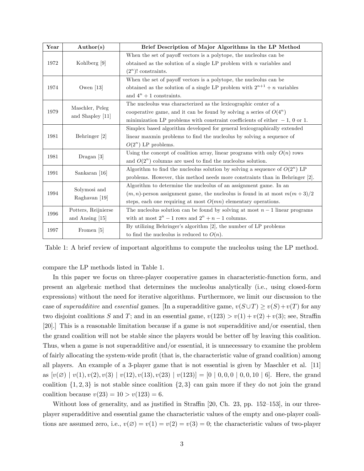| $\operatorname*{Year}% \left( X\right) \equiv\operatorname*{Year}X$ | Author(s)                           | Brief Description of Major Algorithms in the LP Method                           |  |
|---------------------------------------------------------------------|-------------------------------------|----------------------------------------------------------------------------------|--|
| 1972                                                                | Kohlberg [9]                        | When the set of payoff vectors is a polytope, the nucleolus can be               |  |
|                                                                     |                                     | obtained as the solution of a single LP problem with $n$ variables and           |  |
|                                                                     |                                     | $(2^n)!$ constraints.                                                            |  |
| 1974                                                                | Owen $[13]$                         | When the set of payoff vectors is a polytope, the nucleolus can be               |  |
|                                                                     |                                     | obtained as the solution of a single LP problem with $2^{n+1} + n$ variables     |  |
|                                                                     |                                     | and $4^n + 1$ constraints.                                                       |  |
| 1979                                                                | Maschler, Peleg<br>and Shapley [11] | The nucleolus was characterized as the lexicographic center of a                 |  |
|                                                                     |                                     | cooperative game, and it can be found by solving a series of $O(4^n)$            |  |
|                                                                     |                                     | minimization LP problems with constraint coefficients of either $-1$ , 0 or 1.   |  |
| 1981                                                                | Behringer [2]                       | Simplex based algorithm developed for general lexicographically extended         |  |
|                                                                     |                                     | linear maxmin problems to find the nucleolus by solving a sequence of            |  |
|                                                                     |                                     | $O(2^n)$ LP problems.                                                            |  |
| 1981                                                                | $Dragan$ [3]                        | Using the concept of coalition array, linear programs with only $O(n)$ rows      |  |
|                                                                     |                                     | and $O(2^n)$ columns are used to find the nucleolus solution.                    |  |
| 1991                                                                | Sankaran [16]                       | Algorithm to find the nucleolus solution by solving a sequence of $O(2^n)$ LP    |  |
|                                                                     |                                     | problems. However, this method needs more constraints than in Behringer [2].     |  |
| 1994                                                                | Solymosi and<br>Raghavan [19]       | Algorithm to determine the nucleolus of an assignment game. In an                |  |
|                                                                     |                                     | $(m, n)$ -person assignment game, the nucleolus is found in at most $m(m + 3)/2$ |  |
|                                                                     |                                     | steps, each one requiring at most $O(mn)$ elementary operations.                 |  |
| 1996                                                                | Potters, Reijnierse                 | The nucleolus solution can be found by solving at most $n-1$ linear programs     |  |
|                                                                     | and Ansing [15]                     | with at most $2^n - 1$ rows and $2^n + n - 1$ columns.                           |  |
| 1997                                                                | Fromen [5]                          | By utilizing Behringer's algorithm [2], the number of LP problems                |  |
|                                                                     |                                     | to find the nucleolus is reduced to $O(n)$ .                                     |  |

Table 1: A brief review of important algorithms to compute the nucleolus using the LP method.

compare the LP methods listed in Table 1.

In this paper we focus on three-player cooperative games in characteristic-function form, and present an algebraic method that determines the nucleolus analytically (i.e., using closed-form expressions) without the need for iterative algorithms. Furthermore, we limit our discussion to the case of superadditive and essential games. [In a superadditive game,  $v(S \cup T) \ge v(S) + v(T)$  for any two disjoint coalitions S and T; and in an essential game,  $v(123) > v(1) + v(2) + v(3)$ ; see, Straffin [20].] This is a reasonable limitation because if a game is not superadditive and/or essential, then the grand coalition will not be stable since the players would be better off by leaving this coalition. Thus, when a game is not superadditive and/or essential, it is unnecessary to examine the problem of fairly allocating the system-wide profit (that is, the characteristic value of grand coalition) among all players. An example of a 3-player game that is not essential is given by Maschler et al. [11] as  $[v(\emptyset) | v(1), v(2), v(3) | v(12), v(13), v(23) | v(123)] = [0 | 0, 0, 0 | 0, 0, 10 | 6]$ . Here, the grand coalition  $\{1, 2, 3\}$  is not stable since coalition  $\{2, 3\}$  can gain more if they do not join the grand coalition because  $v(23) = 10 > v(123) = 6$ .

Without loss of generality, and as justified in Straffin  $[20, Ch. 23, pp. 152-153]$ , in our threeplayer superadditive and essential game the characteristic values of the empty and one-player coalitions are assumed zero, i.e.,  $v(\emptyset) = v(1) = v(2) = v(3) = 0$ ; the characteristic values of two-player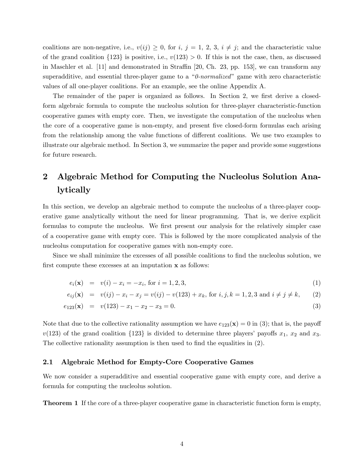coalitions are non-negative, i.e.,  $v(ij) \geq 0$ , for i,  $j = 1, 2, 3, i \neq j$ ; and the characteristic value of the grand coalition  $\{123\}$  is positive, i.e.,  $v(123) > 0$ . If this is not the case, then, as discussed in Maschler et al.  $[11]$  and demonstrated in Straffin [20, Ch. 23, pp. 153], we can transform any superadditive, and essential three-player game to a  $\degree$  0-normalized" game with zero characteristic values of all one-player coalitions. For an example, see the online Appendix A.

The remainder of the paper is organized as follows. In Section 2, we first derive a closedform algebraic formula to compute the nucleolus solution for three-player characteristic-function cooperative games with empty core. Then, we investigate the computation of the nucleolus when the core of a cooperative game is non-empty, and present Öve closed-form formulas each arising from the relationship among the value functions of different coalitions. We use two examples to illustrate our algebraic method. In Section 3, we summarize the paper and provide some suggestions for future research.

## 2 Algebraic Method for Computing the Nucleolus Solution Analytically

In this section, we develop an algebraic method to compute the nucleolus of a three-player cooperative game analytically without the need for linear programming. That is, we derive explicit formulas to compute the nucleolus. We first present our analysis for the relatively simpler case of a cooperative game with empty core. This is followed by the more complicated analysis of the nucleolus computation for cooperative games with non-empty core.

Since we shall minimize the excesses of all possible coalitions to find the nucleolus solution, we first compute these excesses at an imputation  $x$  as follows:

$$
e_i(\mathbf{x}) = v(i) - x_i = -x_i, \text{ for } i = 1, 2, 3,
$$
\n(1)

$$
e_{ij}(\mathbf{x}) = v(ij) - x_i - x_j = v(ij) - v(123) + x_k, \text{ for } i, j, k = 1, 2, 3 \text{ and } i \neq j \neq k,
$$
 (2)

$$
e_{123}(\mathbf{x}) = v(123) - x_1 - x_2 - x_3 = 0. \tag{3}
$$

Note that due to the collective rationality assumption we have  $e_{123}(\mathbf{x}) = 0$  in (3); that is, the payoff  $v(123)$  of the grand coalition  $\{123\}$  is divided to determine three players' payoffs  $x_1, x_2$  and  $x_3$ . The collective rationality assumption is then used to find the equalities in  $(2)$ .

#### 2.1 Algebraic Method for Empty-Core Cooperative Games

We now consider a superadditive and essential cooperative game with empty core, and derive a formula for computing the nucleolus solution.

Theorem 1 If the core of a three-player cooperative game in characteristic function form is empty,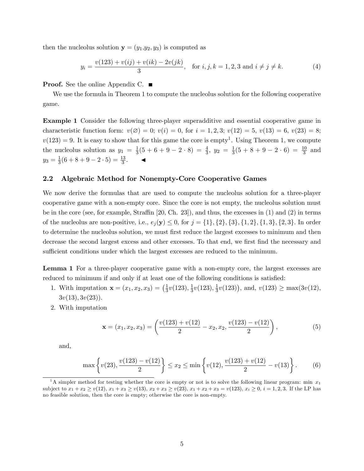then the nucleolus solution  $y = (y_1,y_2,y_3)$  is computed as

$$
y_i = \frac{v(123) + v(ij) + v(ik) - 2v(jk)}{3}, \quad \text{for } i, j, k = 1, 2, 3 \text{ and } i \neq j \neq k.
$$
 (4)

**Proof.** See the online Appendix C. ■

We use the formula in Theorem 1 to compute the nucleolus solution for the following cooperative game.

Example 1 Consider the following three-player superadditive and essential cooperative game in characteristic function form:  $v(\emptyset) = 0$ ;  $v(i) = 0$ , for  $i = 1, 2, 3$ ;  $v(12) = 5$ ,  $v(13) = 6$ ,  $v(23) = 8$ ;  $v(123) = 9$ . It is easy to show that for this game the core is empty<sup>1</sup>. Using Theorem 1, we compute the nucleolus solution as  $y_1 = \frac{1}{3}$  $\frac{1}{3}(5+6+9-2\cdot 8) = \frac{4}{3}, \ y_2 = \frac{1}{3}$  $\frac{1}{3}(5+8+9-2\cdot 6) = \frac{10}{3}$  and  $y_3 = \frac{1}{3}$  $\frac{1}{3}(6+8+9-2\cdot 5)=\frac{13}{3}$ .

#### 2.2 Algebraic Method for Nonempty-Core Cooperative Games

We now derive the formulas that are used to compute the nucleolus solution for a three-player cooperative game with a non-empty core. Since the core is not empty, the nucleolus solution must be in the core (see, for example, Straffin  $[20, Ch. 23]$ ), and thus, the excesses in  $(1)$  and  $(2)$  in terms of the nucleolus are non-positive, i.e.,  $e_j(y) \leq 0$ , for  $j = \{1\}, \{2\}, \{3\}, \{1, 2\}, \{1, 3\}, \{2, 3\}.$  In order to determine the nucleolus solution, we must first reduce the largest excesses to minimum and then decrease the second largest excess and other excesses. To that end, we first find the necessary and sufficient conditions under which the largest excesses are reduced to the minimum.

Lemma 1 For a three-player cooperative game with a non-empty core, the largest excesses are reduced to minimum if and only if at least one of the following conditions is satisfied:

- 1. With imputation  $\mathbf{x} = (x_1, x_2, x_3) = \left(\frac{1}{3}\right)$  $\frac{1}{3}v(123),\frac{1}{3}$  $\frac{1}{3}v(123),\frac{1}{3}$  $\frac{1}{3}v(123)$ , and,  $v(123) \ge \max(3v(12))$ ,  $3v(13), 3v(23)$ .
- 2. With imputation

$$
\mathbf{x} = (x_1, x_2, x_3) = \left(\frac{v(123) + v(12)}{2} - x_2, x_2, \frac{v(123) - v(12)}{2}\right),\tag{5}
$$

and,

$$
\max\left\{v(23), \frac{v(123) - v(12)}{2}\right\} \le x_2 \le \min\left\{v(12), \frac{v(123) + v(12)}{2} - v(13)\right\}.
$$
 (6)

<sup>&</sup>lt;sup>1</sup>A simpler method for testing whether the core is empty or not is to solve the following linear program: min  $x_1$ subject to  $x_1 + x_2 \ge v(12), x_1 + x_3 \ge v(13), x_2 + x_3 \ge v(23), x_1 + x_2 + x_3 = v(123), x_i \ge 0, i = 1, 2, 3$ . If the LP has no feasible solution, then the core is empty; otherwise the core is non-empty.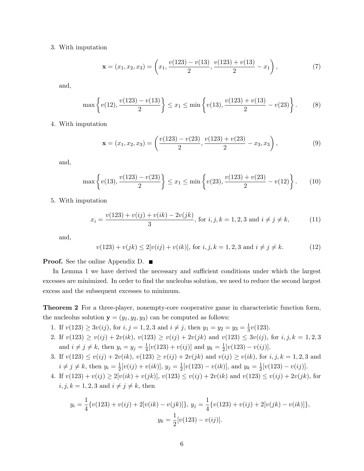#### 3. With imputation

$$
\mathbf{x} = (x_1, x_2, x_3) = \left(x_1, \frac{v(123) - v(13)}{2}, \frac{v(123) + v(13)}{2} - x_1\right),\tag{7}
$$

and,

$$
\max\left\{v(12), \frac{v(123) - v(13)}{2}\right\} \le x_1 \le \min\left\{v(13), \frac{v(123) + v(13)}{2} - v(23)\right\}.
$$
 (8)

#### 4. With imputation

$$
\mathbf{x} = (x_1, x_2, x_3) = \left(\frac{v(123) - v(23)}{2}, \frac{v(123) + v(23)}{2} - x_3, x_3\right),\tag{9}
$$

and,

$$
\max\left\{v(13), \frac{v(123) - v(23)}{2}\right\} \le x_1 \le \min\left\{v(23), \frac{v(123) + v(23)}{2} - v(12)\right\}.
$$
 (10)

5. With imputation

$$
x_i = \frac{v(123) + v(ij) + v(ik) - 2v(jk)}{3}
$$
, for  $i, j, k = 1, 2, 3$  and  $i \neq j \neq k$ , (11)

and,

$$
v(123) + v(jk) \le 2[v(ij) + v(ik)], \text{ for } i, j, k = 1, 2, 3 \text{ and } i \ne j \ne k.
$$
 (12)

#### **Proof.** See the online Appendix D. ■

In Lemma 1 we have derived the necessary and sufficient conditions under which the largest excesses are minimized. In order to find the nucleolus solution, we need to reduce the second largest excess and the subsequent excesses to minimum.

Theorem 2 For a three-player, nonempty-core cooperative game in characteristic function form, the nucleolus solution  $y = (y_1, y_2, y_3)$  can be computed as follows:

- 1. If  $v(123) \ge 3v(ij)$ , for  $i, j = 1, 2, 3$  and  $i \ne j$ , then  $y_1 = y_2 = y_3 = \frac{1}{3}$  $rac{1}{3}v(123)$ .
- 2. If  $v(123) \ge v(ij) + 2v(ik)$ ,  $v(123) \ge v(ij) + 2v(jk)$  and  $v(123) \le 3v(ij)$ , for  $i, j, k = 1, 2, 3$ and  $i \neq j \neq k$ , then  $y_i = y_j = \frac{1}{4}$  $\frac{1}{4}[v(123) + v(ij)]$  and  $y_k = \frac{1}{2}$  $\frac{1}{2}[v(123)-v(ij)].$
- 3. If  $v(123) \le v(ij) + 2v(ik)$ ,  $v(123) \ge v(ij) + 2v(jk)$  and  $v(ij) \ge v(ik)$ , for  $i, j, k = 1, 2, 3$  and  $i \neq j \neq k$ , then  $y_i = \frac{1}{2}$  $\frac{1}{2}[v(ij) + v(ik)], y_j = \frac{1}{2}$  $\frac{1}{2}[v(123) - v(ik)],$  and  $y_k = \frac{1}{2}$  $\frac{1}{2}[v(123)-v(ij)].$
- 4. If  $v(123) + v(ij) \ge 2[v(ik) + v(jk)], v(123) \le v(ij) + 2v(ik)$  and  $v(123) \le v(ij) + 2v(jk)$ , for  $i, j, k = 1, 2, 3$  and  $i \neq j \neq k$ , then

$$
y_i = \frac{1}{4} \{v(123) + v(ij) + 2[v(ik) - v(jk)]\}, y_j = \frac{1}{4} \{v(123) + v(ij) + 2[v(jk) - v(ik)]\},
$$

$$
y_k = \frac{1}{2} [v(123) - v(ij)].
$$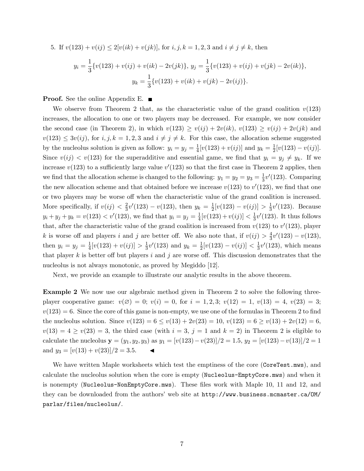5. If 
$$
v(123) + v(ij) \le 2[v(ik) + v(jk)]
$$
, for  $i, j, k = 1, 2, 3$  and  $i \ne j \ne k$ , then  
\n
$$
y_i = \frac{1}{3} \{v(123) + v(ij) + v(ik) - 2v(jk)\}, y_j = \frac{1}{3} \{v(123) + v(ij) + v(jk) - 2v(ik)\}, y_k = \frac{1}{3} \{v(123) + v(ik) + v(jk) - 2v(ij)\}.
$$

**Proof.** See the online Appendix E.  $\blacksquare$ 

We observe from Theorem 2 that, as the characteristic value of the grand coalition  $v(123)$ increases, the allocation to one or two players may be decreased. For example, we now consider the second case (in Theorem 2), in which  $v(123) \ge v(ij) + 2v(ik)$ ,  $v(123) \ge v(ij) + 2v(jk)$  and  $v(123) \leq 3v(ij)$ , for  $i, j, k = 1, 2, 3$  and  $i \neq j \neq k$ . For this case, the allocation scheme suggested by the nucleolus solution is given as follow:  $y_i = y_j = \frac{1}{4}$  $\frac{1}{4}[v(123) + v(ij)]$  and  $y_k = \frac{1}{2}$  $\frac{1}{2}[v(123)-v(ij)].$ Since  $v(i) < v(123)$  for the superadditive and essential game, we find that  $y_i = y_j \neq y_k$ . If we increase  $v(123)$  to a sufficiently large value  $v'(123)$  so that the first case in Theorem 2 applies, then we find that the allocation scheme is changed to the following:  $y_1 = y_2 = y_3 = \frac{1}{3}$  $\frac{1}{3}v'(123)$ . Comparing the new allocation scheme and that obtained before we increase  $v(123)$  to  $v'(123)$ , we find that one or two players may be worse off when the characteristic value of the grand coalition is increased. More specifically, if  $v(ij) < \frac{2}{3}$  $\frac{2}{3}v'(123) - v(123)$ , then  $y_k = \frac{1}{2}$  $\frac{1}{2}[v(123) - v(ij)] > \frac{1}{3}$  $\frac{1}{3}v'(123)$ . Because  $y_i + y_j + y_k = v(123) < v'(123)$ , we find that  $y_i = y_j = \frac{1}{4}$  $\frac{1}{4}[v(123) + v(ij)] < \frac{1}{3}$  $\frac{1}{3}v'(123)$ . It thus follows that, after the characteristic value of the grand coalition is increased from  $v(123)$  to  $v'(123)$ , player k is worse off and players i and j are better off. We also note that, if  $v(ij) > \frac{4}{3}$  $\frac{4}{3}v'(123) - v(123),$ then  $y_i = y_j = \frac{1}{4}$  $\frac{1}{4}[v(123) + v(ij)] > \frac{1}{3}$  $\frac{1}{3}v'(123)$  and  $y_k = \frac{1}{2}$  $\frac{1}{2}[v(123) - v(ij)] < \frac{1}{3}$  $\frac{1}{3}v'(123)$ , which means that player k is better off but players i and j are worse off. This discussion demonstrates that the nucleolus is not always monotonic, as proved by Megiddo [12].

Next, we provide an example to illustrate our analytic results in the above theorem.

Example 2 We now use our algebraic method given in Theorem 2 to solve the following threeplayer cooperative game:  $v(\emptyset) = 0$ ;  $v(i) = 0$ , for  $i = 1, 2, 3$ ;  $v(12) = 1$ ,  $v(13) = 4$ ,  $v(23) = 3$ ;  $v(123) = 6$ . Since the core of this game is non-empty, we use one of the formulas in Theorem 2 to find the nucleolus solution. Since  $v(123) = 6 \le v(13) + 2v(23) = 10$ ,  $v(123) = 6 \ge v(13) + 2v(12) = 6$ ,  $v(13) = 4 \ge v(23) = 3$ , the third case (with  $i = 3$ ,  $j = 1$  and  $k = 2$ ) in Theorem 2 is eligible to calculate the nucleolus  $y = (y_1, y_2, y_3)$  as  $y_1 = [v(123)-v(23)]/2 = 1.5$ ,  $y_2 = [v(123)-v(13)]/2 = 1$ and  $y_3 = \frac{v(13) + v(23)}{2} = 3.5$ .

We have written Maple worksheets which test the emptiness of the core (CoreTest.mws), and calculate the nucleolus solution when the core is empty (Nucleolus-EmptyCore.mws) and when it is nonempty (Nucleolus-NonEmptyCore.mws). These files work with Maple 10, 11 and 12, and they can be downloaded from the authors' web site at http://www.business.mcmaster.ca/OM/ parlar/files/nucleolus/.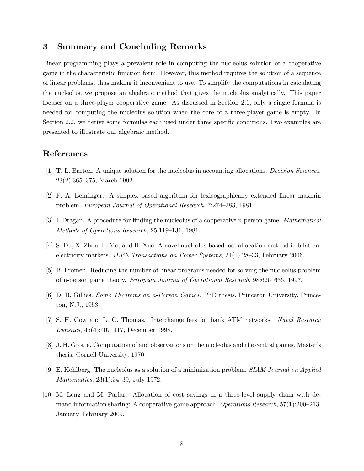### 3 Summary and Concluding Remarks

Linear programming plays a prevalent role in computing the nucleolus solution of a cooperative game in the characteristic function form. However, this method requires the solution of a sequence of linear problems, thus making it inconvenient to use. To simplify the computations in calculating the nucleolus, we propose an algebraic method that gives the nucleolus analytically. This paper focuses on a three-player cooperative game. As discussed in Section 2.1, only a single formula is needed for computing the nucleolus solution when the core of a three-player game is empty. In Section 2.2, we derive some formulas each used under three specific conditions. Two examples are presented to illustrate our algebraic method.

### References

- [1] T. L. Barton. A unique solution for the nucleolus in accounting allocations. Decision Sciences,  $23(2):365-375$ , March 1992.
- [2] F. A. Behringer. A simplex based algorithm for lexicographically extended linear maxmin problem. European Journal of Operational Research, 7:274–283, 1981.
- [3] I. Dragan. A procedure for finding the nucleolus of a cooperative n person game. Mathematical Methods of Operations Research,  $25:119-131$ , 1981.
- [4] S. Du, X. Zhou, L. Mo, and H. Xue. A novel nucleolus-based loss allocation method in bilateral electricity markets. IEEE Transactions on Power Systems,  $21(1):28-33$ , February 2006.
- [5] B. Fromen. Reducing the number of linear programs needed for solving the nucleolus problem of n-person game theory. European Journal of Operational Research, 98:626–636, 1997.
- [6] D. B. Gillies. Some Theorems on n-Person Games. PhD thesis, Princeton University, Princeton, N.J., 1953.
- [7] S. H. Gow and L. C. Thomas. Interchange fees for bank ATM networks. Naval Research Logistics,  $45(4):407-417$ , December 1998.
- [8] J. H. Grotte. Computation of and observations on the nucleolus and the central games. Masterís thesis, Cornell University, 1970.
- [9] E. Kohlberg. The nucleolus as a solution of a minimization problem. SIAM Journal on Applied *Mathematics*,  $23(1):34-39$ , July 1972.
- [10] M. Leng and M. Parlar. Allocation of cost savings in a three-level supply chain with demand information sharing: A cooperative-game approach. Operations Research,  $57(1):200-213$ , January–February 2009.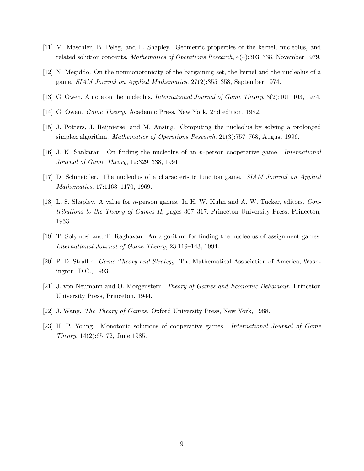- [11] M. Maschler, B. Peleg, and L. Shapley. Geometric properties of the kernel, nucleolus, and related solution concepts. Mathematics of Operations Research, 4(4):303–338, November 1979.
- [12] N. Megiddo. On the nonmonotonicity of the bargaining set, the kernel and the nucleolus of a game.  $SIAM\ Journal\ on\ Applied\ Mathematics\ 27(2):355-358$ , September 1974.
- [13] G. Owen. A note on the nucleolus. *International Journal of Game Theory*,  $3(2):101-103$ , 1974.
- [14] G. Owen. Game Theory. Academic Press, New York, 2nd edition, 1982.
- [15] J. Potters, J. Reijnierse, and M. Ansing. Computing the nucleolus by solving a prolonged simplex algorithm. *Mathematics of Operations Research*,  $21(3)$ :757–768, August 1996.
- [16] J. K. Sankaran. On finding the nucleolus of an *n*-person cooperative game. *International* Journal of Game Theory,  $19:329-338$ , 1991.
- [17] D. Schmeidler. The nucleolus of a characteristic function game. SIAM Journal on Applied Mathematics, 17:1163-1170, 1969.
- [18] L. S. Shapley. A value for n-person games. In H. W. Kuhn and A. W. Tucker, editors, Contributions to the Theory of Games II, pages  $307-317$ . Princeton University Press, Princeton, 1953.
- [19] T. Solymosi and T. Raghavan. An algorithm for Önding the nucleolus of assignment games. International Journal of Game Theory, 23:119–143, 1994.
- [20] P. D. Straffin. *Game Theory and Strategy*. The Mathematical Association of America, Washington, D.C., 1993.
- [21] J. von Neumann and O. Morgenstern. Theory of Games and Economic Behaviour. Princeton University Press, Princeton, 1944.
- [22] J. Wang. The Theory of Games. Oxford University Press, New York, 1988.
- [23] H. P. Young. Monotonic solutions of cooperative games. International Journal of Game Theory,  $14(2):65-72$ , June 1985.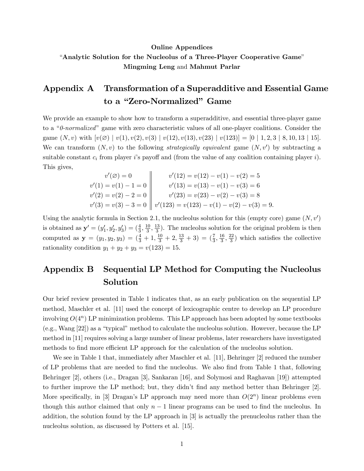## Online Appendices "Analytic Solution for the Nucleolus of a Three-Player Cooperative Game" Mingming Leng and Mahmut Parlar

## Appendix A Transformation of a Superadditive and Essential Game to a "Zero-Normalized" Game

We provide an example to show how to transform a superadditive, and essential three-player game to a " $0$ -normalized" game with zero characteristic values of all one-player coalitions. Consider the game  $(N, v)$  with  $[v(\emptyset) \mid v(1), v(2), v(3) \mid v(12), v(13), v(23) \mid v(123)] = [0 \mid 1, 2, 3 \mid 8, 10, 13 \mid 15].$ We can transform  $(N, v)$  to the following *strategically equivalent* game  $(N, v')$  by subtracting a suitable constant  $c_i$  from player is payoff and (from the value of any coalition containing player i). This gives,

$$
v'(2) = 0
$$
  
\n
$$
v'(1) = v(1) - 1 = 0
$$
  
\n
$$
v'(13) = v(12) - v(1) - v(2) = 5
$$
  
\n
$$
v'(14) = v(13) - v(1) - v(3) = 6
$$
  
\n
$$
v'(2) = v(2) - 2 = 0
$$
  
\n
$$
v'(23) = v(23) - v(2) - v(3) = 8
$$
  
\n
$$
v'(3) = v(3) - 3 = 0
$$
  
\n
$$
v'(123) = v(123) - v(1) - v(2) - v(3) = 9.
$$

Using the analytic formula in Section 2.1, the nucleolus solution for this (empty core) game  $(N, v')$ is obtained as  $y' = (y'_1, y'_2, y'_3) = (\frac{4}{3}, \frac{10}{3})$  $\frac{10}{3}, \frac{13}{3}$  $\frac{13}{3}$ ). The nucleolus solution for the original problem is then computed as  $y = (y_1, y_2, y_3) = (\frac{4}{3} + 1, \frac{10}{3} + 2, \frac{13}{3} + 3) = (\frac{7}{3}, \frac{16}{3})$  $\frac{16}{3}, \frac{22}{3}$  $\frac{d^{2}}{3}$ ) which satisfies the collective rationality condition  $y_1 + y_2 + y_3 = v(123) = 15$ .

## Appendix B Sequential LP Method for Computing the Nucleolus Solution

Our brief review presented in Table 1 indicates that, as an early publication on the sequential LP method, Maschler et al. [11] used the concept of lexicographic centre to develop an LP procedure involving  $O(4^n)$  LP minimization problems. This LP approach has been adopted by some textbooks  $(e.g., Wang [22])$  as a "typical" method to calculate the nucleolus solution. However, because the LP method in [11] requires solving a large number of linear problems, later researchers have investigated methods to find more efficient LP approach for the calculation of the nucleolus solution.

We see in Table 1 that, immediately after Maschler et al. [11], Behringer [2] reduced the number of LP problems that are needed to Önd the nucleolus. We also Önd from Table 1 that, following Behringer [2], others (i.e., Dragan [3], Sankaran [16], and Solymosi and Raghavan [19]) attempted to further improve the LP method; but, they didn't find any method better than Behringer  $[2]$ . More specifically, in [3] Dragan's LP approach may need more than  $O(2^n)$  linear problems even though this author claimed that only  $n-1$  linear programs can be used to find the nucleolus. In addition, the solution found by the LP approach in [3] is actually the prenucleolus rather than the nucleolus solution, as discussed by Potters et al. [15].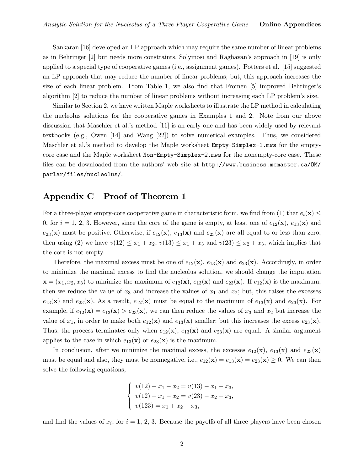Sankaran [16] developed an LP approach which may require the same number of linear problems as in Behringer [2] but needs more constraints. Solymosi and Raghavanís approach in [19] is only applied to a special type of cooperative games (i.e., assignment games). Potters et al. [15] suggested an LP approach that may reduce the number of linear problems; but, this approach increases the size of each linear problem. From Table 1, we also find that Fromen  $[5]$  improved Behringer's algorithm [2] to reduce the number of linear problems without increasing each LP problemís size.

Similar to Section 2, we have written Maple worksheets to illustrate the LP method in calculating the nucleolus solutions for the cooperative games in Examples 1 and 2. Note from our above discussion that Maschler et al.'s method [11] is an early one and has been widely used by relevant textbooks (e.g., Owen [14] and Wang [22]) to solve numerical examples. Thus, we considered Maschler et al.'s method to develop the Maple worksheet  $Empty-Simplex-1.mws$  for the emptycore case and the Maple worksheet Non-Empty-Simplex-2.mws for the nonempty-core case. These files can be downloaded from the authors' web site at http://www.business.mcmaster.ca/OM/ parlar/files/nucleolus/.

## Appendix C Proof of Theorem 1

For a three-player empty-core cooperative game in characteristic form, we find from (1) that  $e_i(\mathbf{x}) \leq$ 0, for  $i = 1, 2, 3$ . However, since the core of the game is empty, at least one of  $e_{12}(\mathbf{x})$ ,  $e_{13}(\mathbf{x})$  and  $e_{23}(\mathbf{x})$  must be positive. Otherwise, if  $e_{12}(\mathbf{x})$ ,  $e_{13}(\mathbf{x})$  and  $e_{23}(\mathbf{x})$  are all equal to or less than zero, then using (2) we have  $v(12) \le x_1 + x_2$ ,  $v(13) \le x_1 + x_3$  and  $v(23) \le x_2 + x_3$ , which implies that the core is not empty.

Therefore, the maximal excess must be one of  $e_{12}(\mathbf{x})$ ,  $e_{13}(\mathbf{x})$  and  $e_{23}(\mathbf{x})$ . Accordingly, in order to minimize the maximal excess to find the nucleolus solution, we should change the imputation  $\mathbf{x} = (x_1, x_2, x_3)$  to minimize the maximum of  $e_{12}(\mathbf{x}), e_{13}(\mathbf{x})$  and  $e_{23}(\mathbf{x})$ . If  $e_{12}(\mathbf{x})$  is the maximum, then we reduce the value of  $x_3$  and increase the values of  $x_1$  and  $x_2$ ; but, this raises the excesses  $e_{13}(\mathbf{x})$  and  $e_{23}(\mathbf{x})$ . As a result,  $e_{12}(\mathbf{x})$  must be equal to the maximum of  $e_{13}(\mathbf{x})$  and  $e_{23}(\mathbf{x})$ . For example, if  $e_{12}(\mathbf{x}) = e_{13}(\mathbf{x}) > e_{23}(\mathbf{x})$ , we can then reduce the values of  $x_3$  and  $x_2$  but increase the value of  $x_1$ , in order to make both  $e_{12}(\mathbf{x})$  and  $e_{13}(\mathbf{x})$  smaller; but this increases the excess  $e_{23}(\mathbf{x})$ . Thus, the process terminates only when  $e_{12}(\mathbf{x})$ ,  $e_{13}(\mathbf{x})$  and  $e_{23}(\mathbf{x})$  are equal. A similar argument applies to the case in which  $e_{13}(x)$  or  $e_{23}(x)$  is the maximum.

In conclusion, after we minimize the maximal excess, the excesses  $e_{12}(\mathbf{x})$ ,  $e_{13}(\mathbf{x})$  and  $e_{23}(\mathbf{x})$ must be equal and also, they must be nonnegative, i.e.,  $e_{12}(\mathbf{x}) = e_{13}(\mathbf{x}) = e_{23}(\mathbf{x}) \ge 0$ . We can then solve the following equations,

$$
\begin{cases}\nv(12) - x_1 - x_2 = v(13) - x_1 - x_3, \\
v(12) - x_1 - x_2 = v(23) - x_2 - x_3, \\
v(123) = x_1 + x_2 + x_3,\n\end{cases}
$$

and find the values of  $x_i$ , for  $i = 1, 2, 3$ . Because the payoffs of all three players have been chosen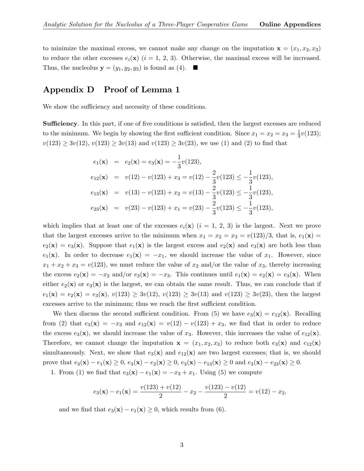to minimize the maximal excess, we cannot make any change on the imputation  $\mathbf{x} = (x_1, x_2, x_3)$ to reduce the other excesses  $e_i(\mathbf{x})$   $(i = 1, 2, 3)$ . Otherwise, the maximal excess will be increased. Thus, the nucleolus  $y = (y_1, y_2, y_3)$  is found as (4).

### Appendix D Proof of Lemma 1

We show the sufficiency and necessity of these conditions.

**Sufficiency.** In this part, if one of five conditions is satisfied, then the largest excesses are reduced to the minimum. We begin by showing the first sufficient condition. Since  $x_1 = x_2 = x_3 = \frac{1}{3}$  $rac{1}{3}v(123);$  $v(123) \ge 3v(12), v(123) \ge 3v(13)$  and  $v(123) \ge 3v(23)$ , we use (1) and (2) to find that

$$
e_1(\mathbf{x}) = e_2(\mathbf{x}) = e_3(\mathbf{x}) = -\frac{1}{3}v(123),
$$
  
\n
$$
e_{12}(\mathbf{x}) = v(12) - v(123) + x_3 = v(12) - \frac{2}{3}v(123) \le -\frac{1}{3}v(123),
$$
  
\n
$$
e_{13}(\mathbf{x}) = v(13) - v(123) + x_2 = v(13) - \frac{2}{3}v(123) \le -\frac{1}{3}v(123),
$$
  
\n
$$
e_{23}(\mathbf{x}) = v(23) - v(123) + x_1 = v(23) - \frac{2}{3}v(123) \le -\frac{1}{3}v(123),
$$

which implies that at least one of the excesses  $e_i(\mathbf{x})$   $(i = 1, 2, 3)$  is the largest. Next we prove that the largest excesses arrive to the minimum when  $x_1 = x_2 = x_3 = v(123)/3$ , that is,  $e_1(\mathbf{x}) =$  $e_2(\mathbf{x}) = e_3(\mathbf{x})$ . Suppose that  $e_1(\mathbf{x})$  is the largest excess and  $e_2(\mathbf{x})$  and  $e_3(\mathbf{x})$  are both less than  $e_1(\mathbf{x})$ . In order to decrease  $e_1(\mathbf{x}) = -x_1$ , we should increase the value of  $x_1$ . However, since  $x_1 + x_2 + x_3 = v(123)$ , we must reduce the value of  $x_2$  and/or the value of  $x_3$ , thereby increasing the excess  $e_2(\mathbf{x}) = -x_2$  and/or  $e_3(\mathbf{x}) = -x_3$ . This continues until  $e_1(\mathbf{x}) = e_2(\mathbf{x}) = e_3(\mathbf{x})$ . When either  $e_2(\mathbf{x})$  or  $e_3(\mathbf{x})$  is the largest, we can obtain the same result. Thus, we can conclude that if  $e_1(\mathbf{x}) = e_2(\mathbf{x}) = e_3(\mathbf{x}), v(123) \ge 3v(12), v(123) \ge 3v(13)$  and  $v(123) \ge 3v(23)$ , then the largest excesses arrive to the minimum; thus we reach the first sufficient condition.

We then discuss the second sufficient condition. From (5) we have  $e_3(\mathbf{x}) = e_{12}(\mathbf{x})$ . Recalling from (2) that  $e_3(\mathbf{x}) = -x_3$  and  $e_{12}(\mathbf{x}) = v(12) - v(123) + x_3$ , we find that in order to reduce the excess  $e_3(\mathbf{x})$ , we should increase the value of  $x_3$ . However, this increases the value of  $e_{12}(\mathbf{x})$ . Therefore, we cannot change the imputation  $x = (x_1, x_2, x_3)$  to reduce both  $e_3(x)$  and  $e_{12}(x)$ simultaneously. Next, we show that  $e_3(\mathbf{x})$  and  $e_{12}(\mathbf{x})$  are two largest excesses; that is, we should prove that  $e_3(\mathbf{x}) - e_1(\mathbf{x}) \ge 0$ ,  $e_3(\mathbf{x}) - e_2(\mathbf{x}) \ge 0$ ,  $e_3(\mathbf{x}) - e_{13}(\mathbf{x}) \ge 0$  and  $e_3(\mathbf{x}) - e_{23}(\mathbf{x}) \ge 0$ .

1. From (1) we find that  $e_3(x) - e_1(x) = -x_3 + x_1$ . Using (5) we compute

$$
e_3(\mathbf{x}) - e_1(\mathbf{x}) = \frac{v(123) + v(12)}{2} - x_2 - \frac{v(123) - v(12)}{2} = v(12) - x_2,
$$

and we find that  $e_3(\mathbf{x}) - e_1(\mathbf{x}) \geq 0$ , which results from (6).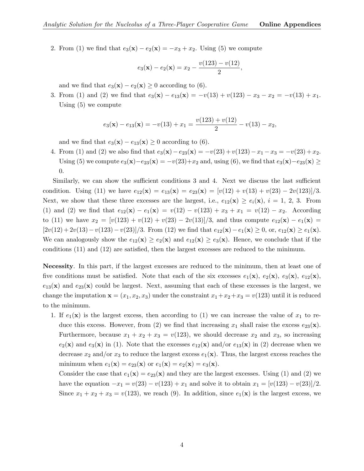2. From (1) we find that  $e_3(\mathbf{x}) - e_2(\mathbf{x}) = -x_3 + x_2$ . Using (5) we compute

$$
e_3(\mathbf{x}) - e_2(\mathbf{x}) = x_2 - \frac{v(123) - v(12)}{2}
$$

,

and we find that  $e_3(\mathbf{x}) - e_2(\mathbf{x}) \geq 0$  according to (6).

3. From (1) and (2) we find that  $e_3(\mathbf{x}) - e_{13}(\mathbf{x}) = -v(13) + v(123) - x_3 - x_2 = -v(13) + x_1$ . Using (5) we compute

$$
e_3(\mathbf{x}) - e_{13}(\mathbf{x}) = -v(13) + x_1 = \frac{v(123) + v(12)}{2} - v(13) - x_2,
$$

and we find that  $e_3(\mathbf{x}) - e_{13}(\mathbf{x}) \geq 0$  according to (6).

4. From (1) and (2) we also find that  $e_3(x)-e_{23}(x)=-v(23)+v(123)-x_1-x_3 = -v(23)+x_2$ . Using (5) we compute  $e_3(\mathbf{x})-e_{23}(\mathbf{x}) = -v(23)+x_2$  and, using (6), we find that  $e_3(\mathbf{x})-e_{23}(\mathbf{x}) \ge$ 0.

Similarly, we can show the sufficient conditions 3 and 4. Next we discuss the last sufficient condition. Using (11) we have  $e_{12}(\mathbf{x}) = e_{13}(\mathbf{x}) = e_{23}(\mathbf{x}) = [v(12) + v(13) + v(23) - 2v(123)]/3.$ Next, we show that these three excesses are the largest, i.e.,  $e_{12}(\mathbf{x}) \ge e_i(\mathbf{x}), i = 1, 2, 3$ . From (1) and (2) we find that  $e_{12}(\mathbf{x}) - e_1(\mathbf{x}) = v(12) - v(123) + x_3 + x_1 = v(12) - x_2$ . According to (11) we have  $x_2 = [v(123) + v(12) + v(23) - 2v(13)]/3$ , and thus compute  $e_{12}(\mathbf{x}) - e_1(\mathbf{x}) =$  $[2v(12) + 2v(13) - v(123) - v(23)]/3$ . From (12) we find that  $e_{12}(\mathbf{x}) - e_1(\mathbf{x}) \geq 0$ , or,  $e_{12}(\mathbf{x}) \geq e_1(\mathbf{x})$ . We can analogously show the  $e_{12}(\mathbf{x}) \geq e_2(\mathbf{x})$  and  $e_{12}(\mathbf{x}) \geq e_3(\mathbf{x})$ . Hence, we conclude that if the conditions  $(11)$  and  $(12)$  are satisfied, then the largest excesses are reduced to the minimum.

Necessity. In this part, if the largest excesses are reduced to the minimum, then at least one of five conditions must be satisfied. Note that each of the six excesses  $e_1(\mathbf{x})$ ,  $e_2(\mathbf{x})$ ,  $e_3(\mathbf{x})$ ,  $e_1(\mathbf{x})$ ,  $e_{13}(\mathbf{x})$  and  $e_{23}(\mathbf{x})$  could be largest. Next, assuming that each of these excesses is the largest, we change the imputation  $\mathbf{x} = (x_1, x_2, x_3)$  under the constraint  $x_1 + x_2 + x_3 = v(123)$  until it is reduced to the minimum.

1. If  $e_1(\mathbf{x})$  is the largest excess, then according to (1) we can increase the value of  $x_1$  to reduce this excess. However, from (2) we find that increasing  $x_1$  shall raise the excess  $e_{23}(\mathbf{x})$ . Furthermore, because  $x_1 + x_2 + x_3 = v(123)$ , we should decrease  $x_2$  and  $x_3$ , so increasing  $e_2(\mathbf{x})$  and  $e_3(\mathbf{x})$  in (1). Note that the excesses  $e_{12}(\mathbf{x})$  and/or  $e_{13}(\mathbf{x})$  in (2) decrease when we decrease  $x_2$  and/or  $x_3$  to reduce the largest excess  $e_1(\mathbf{x})$ . Thus, the largest excess reaches the minimum when  $e_1(\mathbf{x}) = e_{23}(\mathbf{x})$  or  $e_1(\mathbf{x}) = e_2(\mathbf{x}) = e_3(\mathbf{x})$ .

Consider the case that  $e_1(\mathbf{x}) = e_{23}(\mathbf{x})$  and they are the largest excesses. Using (1) and (2) we have the equation  $-x_1 = v(23) - v(123) + x_1$  and solve it to obtain  $x_1 = [v(123) - v(23)]/2$ . Since  $x_1 + x_2 + x_3 = v(123)$ , we reach (9). In addition, since  $e_1(\mathbf{x})$  is the largest excess, we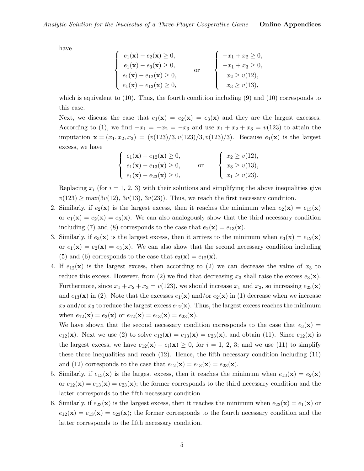have

| $e_1(\mathbf{x}) - e_2(\mathbf{x}) \geq 0,$   | $-x_1 + x_2 \ge 0,$  |
|-----------------------------------------------|----------------------|
| $e_1(\mathbf{x}) - e_3(\mathbf{x}) \ge 0,$    | $-x_1 + x_3 \geq 0,$ |
| $e_1(\mathbf{x}) - e_{12}(\mathbf{x}) \ge 0,$ | $x_2 \geq v(12),$    |
| $e_1(\mathbf{x}) - e_{13}(\mathbf{x}) \ge 0,$ | $x_3 \geq v(13),$    |

which is equivalent to  $(10)$ . Thus, the fourth condition including  $(9)$  and  $(10)$  corresponds to this case.

Next, we discuss the case that  $e_1(\mathbf{x}) = e_2(\mathbf{x}) = e_3(\mathbf{x})$  and they are the largest excesses. According to (1), we find  $-x_1 = -x_2 = -x_3$  and use  $x_1 + x_2 + x_3 = v(123)$  to attain the imputation  $\mathbf{x} = (x_1, x_2, x_3) = (v(123)/3, v(123)/3, v(123)/3)$ . Because  $e_1(\mathbf{x})$  is the largest excess, we have

$$
\begin{cases}\n e_1(\mathbf{x}) - e_{12}(\mathbf{x}) \ge 0, \\
 e_1(\mathbf{x}) - e_{13}(\mathbf{x}) \ge 0, \\
 e_1(\mathbf{x}) - e_{23}(\mathbf{x}) \ge 0,\n\end{cases}\n\text{ or }\n\begin{cases}\n x_2 \ge v(12), \\
 x_3 \ge v(13), \\
 x_1 \ge v(23).\n\end{cases}
$$

Replacing  $x_i$  (for  $i = 1, 2, 3$ ) with their solutions and simplifying the above inequalities give  $v(123) \ge \max(3v(12), 3v(13), 3v(23))$ . Thus, we reach the first necessary condition.

- 2. Similarly, if  $e_2(\mathbf{x})$  is the largest excess, then it reaches the minimum when  $e_2(\mathbf{x}) = e_{13}(\mathbf{x})$ or  $e_1(\mathbf{x}) = e_2(\mathbf{x}) = e_3(\mathbf{x})$ . We can also analogously show that the third necessary condition including (7) and (8) corresponds to the case that  $e_2(\mathbf{x}) = e_{13}(\mathbf{x})$ .
- 3. Similarly, if  $e_3(\mathbf{x})$  is the largest excess, then it arrives to the minimum when  $e_3(\mathbf{x}) = e_{12}(\mathbf{x})$ or  $e_1(\mathbf{x}) = e_2(\mathbf{x}) = e_3(\mathbf{x})$ . We can also show that the second necessary condition including (5) and (6) corresponds to the case that  $e_3(\mathbf{x}) = e_{12}(\mathbf{x})$ .
- 4. If  $e_{12}(\mathbf{x})$  is the largest excess, then according to (2) we can decrease the value of  $x_3$  to reduce this excess. However, from (2) we find that decreasing  $x_3$  shall raise the excess  $e_3(\mathbf{x})$ . Furthermore, since  $x_1 + x_2 + x_3 = v(123)$ , we should increase  $x_1$  and  $x_2$ , so increasing  $e_{23}(\mathbf{x})$ and  $e_{13}(\mathbf{x})$  in (2). Note that the excesses  $e_1(\mathbf{x})$  and/or  $e_2(\mathbf{x})$  in (1) decrease when we increase  $x_2$  and/or  $x_3$  to reduce the largest excess  $e_{12}(\mathbf{x})$ . Thus, the largest excess reaches the minimum when  $e_{12}(\mathbf{x}) = e_3(\mathbf{x})$  or  $e_{12}(\mathbf{x}) = e_{13}(\mathbf{x}) = e_{23}(\mathbf{x})$ .

We have shown that the second necessary condition corresponds to the case that  $e_3(\mathbf{x}) =$  $e_{12}(\mathbf{x})$ . Next we use (2) to solve  $e_{12}(\mathbf{x}) = e_{13}(\mathbf{x}) = e_{23}(\mathbf{x})$ , and obtain (11). Since  $e_{12}(\mathbf{x})$  is the largest excess, we have  $e_{12}(\mathbf{x}) - e_i(\mathbf{x}) \geq 0$ , for  $i = 1, 2, 3$ ; and we use (11) to simplify these three inequalities and reach  $(12)$ . Hence, the fifth necessary condition including  $(11)$ and (12) corresponds to the case that  $e_{12}(\mathbf{x}) = e_{13}(\mathbf{x}) = e_{23}(\mathbf{x})$ .

- 5. Similarly, if  $e_{13}(\mathbf{x})$  is the largest excess, then it reaches the minimum when  $e_{13}(\mathbf{x}) = e_2(\mathbf{x})$ or  $e_{12}(\mathbf{x}) = e_{13}(\mathbf{x}) = e_{23}(\mathbf{x})$ ; the former corresponds to the third necessary condition and the latter corresponds to the fifth necessary condition.
- 6. Similarly, if  $e_{23}(\mathbf{x})$  is the largest excess, then it reaches the minimum when  $e_{23}(\mathbf{x}) = e_1(\mathbf{x})$  or  $e_{12}(\mathbf{x}) = e_{13}(\mathbf{x}) = e_{23}(\mathbf{x})$ ; the former corresponds to the fourth necessary condition and the latter corresponds to the fifth necessary condition.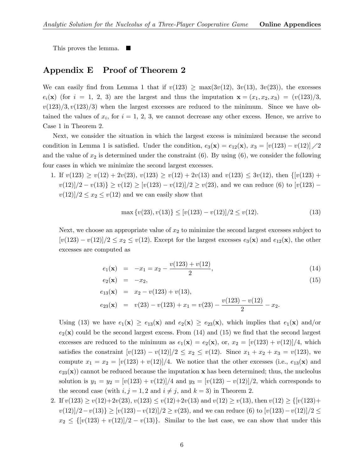This proves the lemma.

## Appendix E Proof of Theorem 2

We can easily find from Lemma 1 that if  $v(123) \ge \max(3v(12), 3v(13), 3v(23))$ , the excesses  $e_i(\mathbf{x})$  (for  $i = 1, 2, 3$ ) are the largest and thus the imputation  $\mathbf{x} = (x_1, x_2, x_3) = (v(123)/3,$  $v(123)/3, v(123)/3$  when the largest excesses are reduced to the minimum. Since we have obtained the values of  $x_i$ , for  $i = 1, 2, 3$ , we cannot decrease any other excess. Hence, we arrive to Case 1 in Theorem 2.

Next, we consider the situation in which the largest excess is minimized because the second condition in Lemma 1 is satisfied. Under the condition,  $e_3(\mathbf{x}) = e_{12}(\mathbf{x}), x_3 = [v(123) - v(12)] \cdot /2$ and the value of  $x_2$  is determined under the constraint (6). By using (6), we consider the following four cases in which we minimize the second largest excesses.

1. If  $v(123) \ge v(12) + 2v(23), v(123) \ge v(12) + 2v(13)$  and  $v(123) \le 3v(12),$  then  $\{[v(123) +$  $v(12)/2 - v(13)\geq v(12) \geq [v(123) - v(12)]/2 \geq v(23)$ , and we can reduce (6) to  $[v(123) - v(12)]/2$  $v(12)/2 \leq x_2 \leq v(12)$  and we can easily show that

$$
\max\{v(23), v(13)\} \le [v(123) - v(12)]/2 \le v(12). \tag{13}
$$

Next, we choose an appropriate value of  $x_2$  to minimize the second largest excesses subject to  $[v(123) - v(12)]/2 \le x_2 \le v(12)$ . Except for the largest excesses  $e_3(\mathbf{x})$  and  $e_{12}(\mathbf{x})$ , the other excesses are computed as

$$
e_1(\mathbf{x}) = -x_1 = x_2 - \frac{v(123) + v(12)}{2},
$$
  
\n
$$
e_2(\mathbf{x}) = -x_2,
$$
\n(15)

$$
e_{13}(\mathbf{x}) = x_2 - v(123) + v(13),
$$
  
\n
$$
e_{23}(\mathbf{x}) = v(23) - v(123) + x_1 = v(23) - \frac{v(123) - v(12)}{2} - x_2.
$$

Using (13) we have  $e_1(\mathbf{x}) \ge e_{13}(\mathbf{x})$  and  $e_2(\mathbf{x}) \ge e_{23}(\mathbf{x})$ , which implies that  $e_1(\mathbf{x})$  and/or  $e_2(x)$  could be the second largest excess. From (14) and (15) we find that the second largest excesses are reduced to the minimum as  $e_1(\mathbf{x}) = e_2(\mathbf{x})$ , or,  $x_2 = [v(123) + v(12)]/4$ , which satisfies the constraint  $[v(123) - v(12)]/2 \le x_2 \le v(12)$ . Since  $x_1 + x_2 + x_3 = v(123)$ , we compute  $x_1 = x_2 = \lfloor v(123) + v(12) \rfloor / 4$ . We notice that the other excesses (i.e.,  $e_{13}(\mathbf{x})$  and  $e_{23}(\mathbf{x})$  cannot be reduced because the imputation x has been determined; thus, the nucleolus solution is  $y_1 = y_2 = [v(123) + v(12)]/4$  and  $y_3 = [v(123) - v(12)]/2$ , which corresponds to the second case (with  $i, j = 1, 2$  and  $i \neq j$ , and  $k = 3$ ) in Theorem 2.

2. If  $v(123) \ge v(12)+2v(23), v(123) \le v(12)+2v(13)$  and  $v(12) \ge v(13)$ , then  $v(12) \ge \{[v(123)+1, v(123)]\}$  $v(12)/2-v(13)\geq [v(123)-v(12)]/2\geq v(23)$ , and we can reduce (6) to  $[v(123)-v(12)]/2\leq$  $x_2 \leq \{[v(123) + v(12)]/2 - v(13)\}\.$  Similar to the last case, we can show that under this